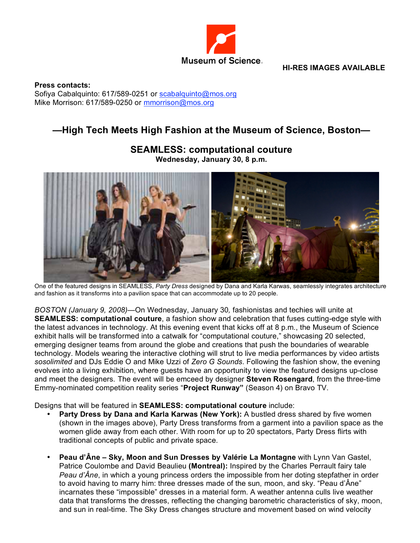

**HI-RES IMAGES AVAILABLE**

**Press contacts:** Sofiya Cabalquinto: 617/589-0251 or scabalquinto@mos.org Mike Morrison: 617/589-0250 or mmorrison@mos.org

## **—High Tech Meets High Fashion at the Museum of Science, Boston—**



## **SEAMLESS: computational couture Wednesday, January 30, 8 p.m.**

One of the featured designs in SEAMLESS, *Party Dress* designed by Dana and Karla Karwas, seamlessly integrates architecture and fashion as it transforms into a pavilion space that can accommodate up to 20 people.

*BOSTON (January 9, 2008)—*On Wednesday, January 30*,* fashionistas and techies will unite at **SEAMLESS: computational couture**, a fashion show and celebration that fuses cutting-edge style with the latest advances in technology. At this evening event that kicks off at 8 p.m., the Museum of Science exhibit halls will be transformed into a catwalk for "computational couture," showcasing 20 selected, emerging designer teams from around the globe and creations that push the boundaries of wearable technology. Models wearing the interactive clothing will strut to live media performances by video artists *sosolimited* and DJs Eddie O and Mike Uzzi of *Zero G Sounds*. Following the fashion show, the evening evolves into a living exhibition, where guests have an opportunity to view the featured designs up-close and meet the designers. The event will be emceed by designer **Steven Rosengard**, from the three-time Emmy-nominated competition reality series "**Project Runway"** (Season 4) on Bravo TV.

Designs that will be featured in **SEAMLESS: computational couture** include:

- **Party Dress by Dana and Karla Karwas (New York):** A bustled dress shared by five women (shown in the images above), Party Dress transforms from a garment into a pavilion space as the women glide away from each other. With room for up to 20 spectators, Party Dress flirts with traditional concepts of public and private space.
- **Peau d'Âne – Sky, Moon and Sun Dresses by Valérie La Montagne** with Lynn Van Gastel, Patrice Coulombe and David Beaulieu **(Montreal):** Inspired by the Charles Perrault fairy tale *Peau d'Âne*, in which a young princess orders the impossible from her doting stepfather in order to avoid having to marry him: three dresses made of the sun, moon, and sky. "Peau d'Âne" incarnates these "impossible" dresses in a material form. A weather antenna culls live weather data that transforms the dresses, reflecting the changing barometric characteristics of sky, moon, and sun in real-time. The Sky Dress changes structure and movement based on wind velocity